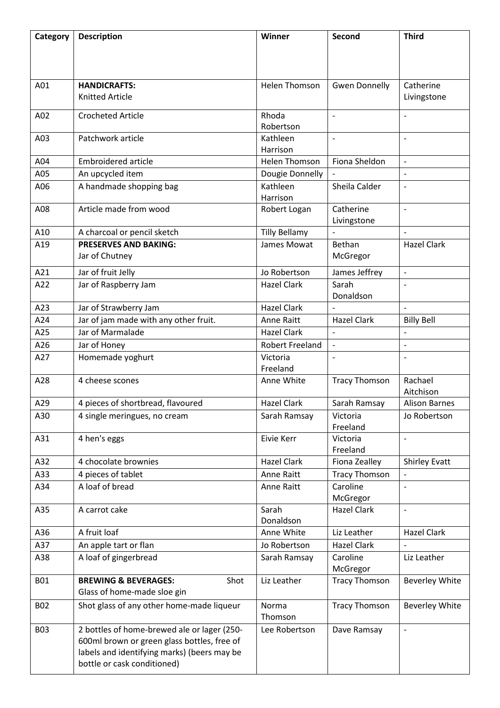| Category   | <b>Description</b>                          | Winner                 | Second                   | <b>Third</b>             |
|------------|---------------------------------------------|------------------------|--------------------------|--------------------------|
|            |                                             |                        |                          |                          |
|            |                                             |                        |                          |                          |
|            |                                             |                        |                          |                          |
| A01        | <b>HANDICRAFTS:</b>                         | <b>Helen Thomson</b>   | <b>Gwen Donnelly</b>     | Catherine                |
|            | <b>Knitted Article</b>                      |                        |                          | Livingstone              |
|            |                                             |                        |                          |                          |
| A02        | <b>Crocheted Article</b>                    | Rhoda                  | $\overline{a}$           |                          |
| A03        | Patchwork article                           | Robertson<br>Kathleen  | $\overline{\phantom{a}}$ | $\overline{\phantom{a}}$ |
|            |                                             | Harrison               |                          |                          |
| A04        | <b>Embroidered article</b>                  | <b>Helen Thomson</b>   | Fiona Sheldon            |                          |
| A05        | An upcycled item                            | Dougie Donnelly        |                          | $\overline{\phantom{a}}$ |
| A06        | A handmade shopping bag                     | Kathleen               | Sheila Calder            | $\overline{\phantom{a}}$ |
|            |                                             | Harrison               |                          |                          |
| A08        | Article made from wood                      | Robert Logan           | Catherine                | $\blacksquare$           |
|            |                                             |                        | Livingstone              |                          |
| A10        | A charcoal or pencil sketch                 | <b>Tilly Bellamy</b>   |                          | $\overline{a}$           |
| A19        | <b>PRESERVES AND BAKING:</b>                | James Mowat            | Bethan                   | <b>Hazel Clark</b>       |
|            | Jar of Chutney                              |                        | McGregor                 |                          |
| A21        | Jar of fruit Jelly                          | Jo Robertson           | James Jeffrey            | $\overline{\phantom{a}}$ |
| A22        | Jar of Raspberry Jam                        | <b>Hazel Clark</b>     | Sarah                    | $\overline{\phantom{a}}$ |
|            |                                             |                        | Donaldson                |                          |
| A23        | Jar of Strawberry Jam                       | <b>Hazel Clark</b>     |                          |                          |
| A24        | Jar of jam made with any other fruit.       | Anne Raitt             | <b>Hazel Clark</b>       | <b>Billy Bell</b>        |
| A25        | Jar of Marmalade                            | <b>Hazel Clark</b>     | $\overline{a}$           | $\overline{\phantom{a}}$ |
| A26        | Jar of Honey                                | <b>Robert Freeland</b> | $\overline{\phantom{m}}$ | $\overline{\phantom{0}}$ |
| A27        | Homemade yoghurt                            | Victoria               |                          |                          |
|            |                                             | Freeland               |                          |                          |
| A28        | 4 cheese scones                             | Anne White             | <b>Tracy Thomson</b>     | Rachael                  |
|            |                                             |                        |                          | Aitchison                |
| A29        | 4 pieces of shortbread, flavoured           | <b>Hazel Clark</b>     | Sarah Ramsay             | <b>Alison Barnes</b>     |
| A30        | 4 single meringues, no cream                | Sarah Ramsay           | Victoria                 | Jo Robertson             |
|            |                                             |                        | Freeland                 |                          |
| A31        | 4 hen's eggs                                | Eivie Kerr             | Victoria                 |                          |
|            |                                             |                        | Freeland                 |                          |
| A32        | 4 chocolate brownies                        | <b>Hazel Clark</b>     | Fiona Zealley            | <b>Shirley Evatt</b>     |
| A33        | 4 pieces of tablet                          | Anne Raitt             | <b>Tracy Thomson</b>     |                          |
| A34        | A loaf of bread                             | Anne Raitt             | Caroline<br>McGregor     | $\overline{\phantom{a}}$ |
| A35        | A carrot cake                               | Sarah                  | <b>Hazel Clark</b>       | $\overline{\phantom{a}}$ |
|            |                                             | Donaldson              |                          |                          |
| A36        | A fruit loaf                                | Anne White             | Liz Leather              | <b>Hazel Clark</b>       |
| A37        | An apple tart or flan                       | Jo Robertson           | <b>Hazel Clark</b>       |                          |
| A38        | A loaf of gingerbread                       | Sarah Ramsay           | Caroline                 | Liz Leather              |
|            |                                             |                        | McGregor                 |                          |
| <b>B01</b> | <b>BREWING &amp; BEVERAGES:</b><br>Shot     | Liz Leather            | <b>Tracy Thomson</b>     | <b>Beverley White</b>    |
|            | Glass of home-made sloe gin                 |                        |                          |                          |
| <b>B02</b> | Shot glass of any other home-made liqueur   | Norma                  | <b>Tracy Thomson</b>     | <b>Beverley White</b>    |
|            |                                             | Thomson                |                          |                          |
| <b>B03</b> | 2 bottles of home-brewed ale or lager (250- | Lee Robertson          | Dave Ramsay              |                          |
|            | 600ml brown or green glass bottles, free of |                        |                          |                          |
|            | labels and identifying marks) (beers may be |                        |                          |                          |
|            | bottle or cask conditioned)                 |                        |                          |                          |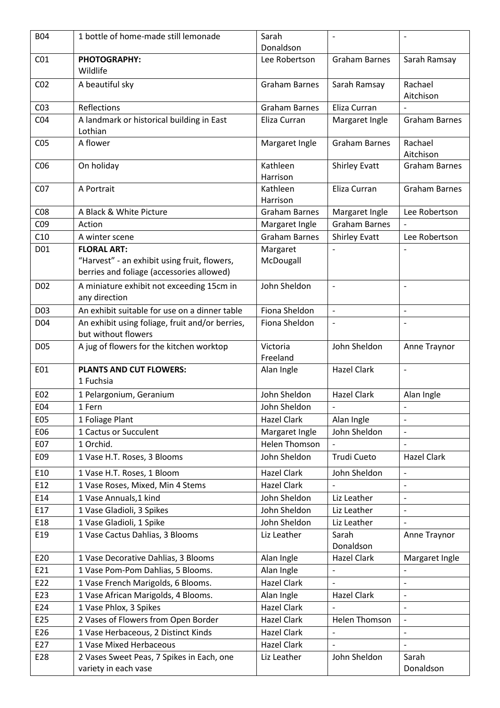| <b>B04</b>      | 1 bottle of home-made still lemonade                                                      | Sarah                                    |                                            |                          |
|-----------------|-------------------------------------------------------------------------------------------|------------------------------------------|--------------------------------------------|--------------------------|
|                 |                                                                                           | Donaldson                                |                                            |                          |
| CO <sub>1</sub> | PHOTOGRAPHY:<br>Wildlife                                                                  | Lee Robertson                            | <b>Graham Barnes</b>                       | Sarah Ramsay             |
| CO <sub>2</sub> | A beautiful sky                                                                           | <b>Graham Barnes</b>                     | Sarah Ramsay                               | Rachael<br>Aitchison     |
| CO <sub>3</sub> | Reflections                                                                               | <b>Graham Barnes</b>                     | Eliza Curran                               |                          |
| CO <sub>4</sub> | A landmark or historical building in East<br>Lothian                                      | Eliza Curran                             | Margaret Ingle                             | <b>Graham Barnes</b>     |
| CO <sub>5</sub> | A flower                                                                                  | Margaret Ingle                           | <b>Graham Barnes</b>                       | Rachael<br>Aitchison     |
| CO6             | On holiday                                                                                | Kathleen<br>Harrison                     | <b>Shirley Evatt</b>                       | <b>Graham Barnes</b>     |
| CO <sub>7</sub> | A Portrait                                                                                | Kathleen<br>Harrison                     | Eliza Curran                               | <b>Graham Barnes</b>     |
| CO8             | A Black & White Picture                                                                   | <b>Graham Barnes</b>                     | Margaret Ingle                             | Lee Robertson            |
| C <sub>09</sub> | Action                                                                                    | Margaret Ingle                           | <b>Graham Barnes</b>                       |                          |
| C10             | A winter scene                                                                            | <b>Graham Barnes</b>                     | <b>Shirley Evatt</b>                       | Lee Robertson            |
| D01             | <b>FLORAL ART:</b>                                                                        | Margaret                                 |                                            |                          |
|                 | "Harvest" - an exhibit using fruit, flowers,<br>berries and foliage (accessories allowed) | McDougall                                |                                            |                          |
| D02             | A miniature exhibit not exceeding 15cm in<br>any direction                                | John Sheldon                             |                                            | $\overline{\phantom{a}}$ |
| D03             | An exhibit suitable for use on a dinner table                                             | Fiona Sheldon                            | $\overline{a}$                             | $\overline{\phantom{a}}$ |
| D <sub>04</sub> | An exhibit using foliage, fruit and/or berries,<br>but without flowers                    | Fiona Sheldon                            |                                            |                          |
| D05             | A jug of flowers for the kitchen worktop                                                  | Victoria                                 | John Sheldon                               | Anne Traynor             |
|                 |                                                                                           | Freeland                                 |                                            |                          |
| E01             | <b>PLANTS AND CUT FLOWERS:</b><br>1 Fuchsia                                               | Alan Ingle                               | <b>Hazel Clark</b>                         | $\overline{\phantom{a}}$ |
| E02             | 1 Pelargonium, Geranium                                                                   | John Sheldon                             | <b>Hazel Clark</b>                         | Alan Ingle               |
| E04             | 1 Fern                                                                                    | John Sheldon                             |                                            |                          |
| <b>E05</b>      | 1 Foliage Plant                                                                           | <b>Hazel Clark</b>                       | Alan Ingle                                 | $\overline{\phantom{0}}$ |
| E06             | 1 Cactus or Succulent                                                                     | Margaret Ingle                           | John Sheldon                               | $\overline{a}$           |
| E07             | 1 Orchid.                                                                                 | <b>Helen Thomson</b>                     |                                            |                          |
| E09             | 1 Vase H.T. Roses, 3 Blooms                                                               | John Sheldon                             | Trudi Cueto                                | <b>Hazel Clark</b>       |
| E10             | 1 Vase H.T. Roses, 1 Bloom                                                                | <b>Hazel Clark</b>                       | John Sheldon                               |                          |
| E12             | 1 Vase Roses, Mixed, Min 4 Stems                                                          | <b>Hazel Clark</b>                       |                                            |                          |
| E14             | 1 Vase Annuals, 1 kind                                                                    | John Sheldon                             | Liz Leather                                |                          |
| E17             | 1 Vase Gladioli, 3 Spikes                                                                 | John Sheldon                             | Liz Leather                                | $\blacksquare$           |
| E18             | 1 Vase Gladioli, 1 Spike                                                                  | John Sheldon                             | Liz Leather                                | $\overline{a}$           |
| E19             | 1 Vase Cactus Dahlias, 3 Blooms                                                           | Liz Leather                              | Sarah                                      | Anne Traynor             |
| E20             |                                                                                           |                                          | Donaldson<br><b>Hazel Clark</b>            |                          |
|                 | 1 Vase Decorative Dahlias, 3 Blooms                                                       | Alan Ingle                               |                                            | Margaret Ingle           |
| E21<br>E22      | 1 Vase Pom-Pom Dahlias, 5 Blooms.                                                         | Alan Ingle<br><b>Hazel Clark</b>         | $\overline{\phantom{m}}$<br>$\overline{a}$ | $\blacksquare$           |
|                 | 1 Vase French Marigolds, 6 Blooms.                                                        |                                          |                                            |                          |
| E23             | 1 Vase African Marigolds, 4 Blooms.                                                       | Alan Ingle                               | <b>Hazel Clark</b>                         | $\overline{\phantom{a}}$ |
| E24             | 1 Vase Phlox, 3 Spikes                                                                    | <b>Hazel Clark</b>                       | Helen Thomson                              | $\overline{\phantom{a}}$ |
| E25             | 2 Vases of Flowers from Open Border                                                       | <b>Hazel Clark</b>                       |                                            |                          |
| E26<br>E27      | 1 Vase Herbaceous, 2 Distinct Kinds<br>1 Vase Mixed Herbaceous                            | <b>Hazel Clark</b><br><b>Hazel Clark</b> | $\overline{a}$                             |                          |
|                 |                                                                                           |                                          |                                            |                          |
| E28             | 2 Vases Sweet Peas, 7 Spikes in Each, one<br>variety in each vase                         | Liz Leather                              | John Sheldon                               | Sarah<br>Donaldson       |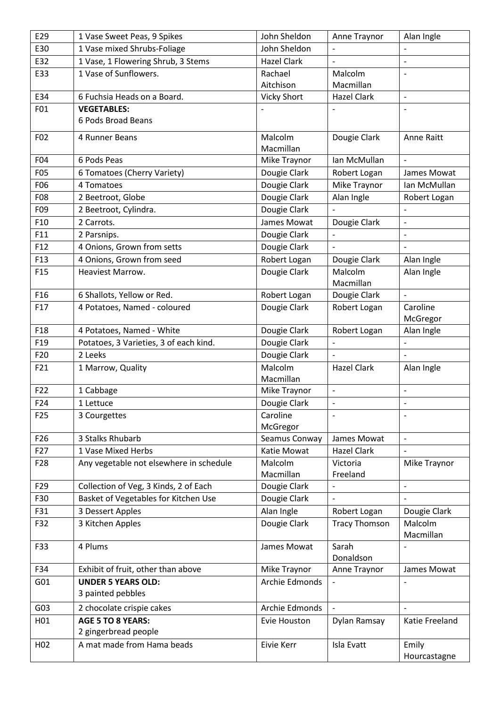| E29             | 1 Vase Sweet Peas, 9 Spikes                                                   | John Sheldon                 | Anne Traynor                         | Alan Ingle               |
|-----------------|-------------------------------------------------------------------------------|------------------------------|--------------------------------------|--------------------------|
| E30             | 1 Vase mixed Shrubs-Foliage                                                   | John Sheldon                 |                                      |                          |
| E32             | 1 Vase, 1 Flowering Shrub, 3 Stems                                            | <b>Hazel Clark</b>           |                                      |                          |
| E33             | 1 Vase of Sunflowers.                                                         | Rachael                      | Malcolm                              | $\overline{\phantom{a}}$ |
|                 |                                                                               | Aitchison                    | Macmillan                            |                          |
| E34             | 6 Fuchsia Heads on a Board.                                                   | <b>Vicky Short</b>           | <b>Hazel Clark</b>                   | $\Box$                   |
| F01             | <b>VEGETABLES:</b>                                                            |                              |                                      |                          |
|                 | 6 Pods Broad Beans                                                            |                              |                                      |                          |
| F02             | 4 Runner Beans                                                                | Malcolm                      | Dougie Clark                         | Anne Raitt               |
|                 |                                                                               | Macmillan                    |                                      |                          |
| F04             | 6 Pods Peas                                                                   | Mike Traynor                 | Ian McMullan                         |                          |
| <b>F05</b>      | 6 Tomatoes (Cherry Variety)                                                   | Dougie Clark                 | Robert Logan                         | James Mowat              |
| F06             | 4 Tomatoes                                                                    | Dougie Clark                 | Mike Traynor                         | Ian McMullan             |
| <b>F08</b>      | 2 Beetroot, Globe                                                             | Dougie Clark                 | Alan Ingle                           | Robert Logan             |
| F09             | 2 Beetroot, Cylindra.                                                         | Dougie Clark                 |                                      |                          |
| F10             | 2 Carrots.                                                                    | James Mowat                  | Dougie Clark                         |                          |
| F11             | 2 Parsnips.                                                                   | Dougie Clark                 |                                      | $\overline{\phantom{a}}$ |
| F12             | 4 Onions, Grown from setts                                                    | Dougie Clark                 |                                      |                          |
| F13             | 4 Onions, Grown from seed                                                     | Robert Logan                 | Dougie Clark                         | Alan Ingle               |
| F <sub>15</sub> | <b>Heaviest Marrow.</b>                                                       | Dougie Clark                 | Malcolm                              | Alan Ingle               |
|                 |                                                                               |                              | Macmillan                            |                          |
| F <sub>16</sub> | 6 Shallots, Yellow or Red.                                                    | Robert Logan                 | Dougie Clark                         | $\overline{a}$           |
| F17             | 4 Potatoes, Named - coloured                                                  | Dougie Clark                 | Robert Logan                         | Caroline<br>McGregor     |
| F <sub>18</sub> | 4 Potatoes, Named - White                                                     | Dougie Clark                 | Robert Logan                         | Alan Ingle               |
| F19             | Potatoes, 3 Varieties, 3 of each kind.                                        | Dougie Clark                 | $\overline{a}$                       |                          |
| F20             | 2 Leeks                                                                       | Dougie Clark                 | $\overline{a}$                       | $\overline{\phantom{a}}$ |
| F21             | 1 Marrow, Quality                                                             | Malcolm                      | <b>Hazel Clark</b>                   | Alan Ingle               |
|                 |                                                                               | Macmillan                    |                                      |                          |
| F22             | 1 Cabbage                                                                     | Mike Traynor                 | $\qquad \qquad \blacksquare$         | $\overline{\phantom{a}}$ |
| F <sub>24</sub> | 1 Lettuce                                                                     | Dougie Clark                 |                                      |                          |
| F <sub>25</sub> | 3 Courgettes                                                                  | Caroline                     | $\overline{\phantom{0}}$             |                          |
|                 |                                                                               | McGregor                     |                                      |                          |
| F26             | 3 Stalks Rhubarb                                                              | Seamus Conway                | James Mowat                          | $\blacksquare$           |
| F27             | 1 Vase Mixed Herbs                                                            | Katie Mowat                  | <b>Hazel Clark</b>                   | $\frac{1}{2}$            |
| F <sub>28</sub> | Any vegetable not elsewhere in schedule                                       | Malcolm                      | Victoria                             | Mike Traynor             |
| F29             |                                                                               | Macmillan                    | Freeland                             | $\overline{\phantom{a}}$ |
| F30             | Collection of Veg, 3 Kinds, 2 of Each<br>Basket of Vegetables for Kitchen Use | Dougie Clark<br>Dougie Clark |                                      |                          |
|                 |                                                                               |                              |                                      |                          |
| F31<br>F32      | 3 Dessert Apples<br>3 Kitchen Apples                                          | Alan Ingle<br>Dougie Clark   | Robert Logan<br><b>Tracy Thomson</b> | Dougie Clark<br>Malcolm  |
|                 |                                                                               |                              |                                      | Macmillan                |
| F33             | 4 Plums                                                                       | James Mowat                  | Sarah                                |                          |
|                 |                                                                               |                              | Donaldson                            |                          |
| F34             | Exhibit of fruit, other than above                                            | Mike Traynor                 | Anne Traynor                         | James Mowat              |
| G01             | <b>UNDER 5 YEARS OLD:</b>                                                     | Archie Edmonds               | $\overline{a}$                       |                          |
|                 | 3 painted pebbles                                                             |                              |                                      |                          |
| G03             | 2 chocolate crispie cakes                                                     | Archie Edmonds               |                                      | $\overline{\phantom{a}}$ |
| H01             | <b>AGE 5 TO 8 YEARS:</b>                                                      | Evie Houston                 | Dylan Ramsay                         | Katie Freeland           |
|                 | 2 gingerbread people                                                          |                              |                                      |                          |
| H <sub>02</sub> | A mat made from Hama beads                                                    | Eivie Kerr                   | Isla Evatt                           | Emily                    |
|                 |                                                                               |                              |                                      | Hourcastagne             |